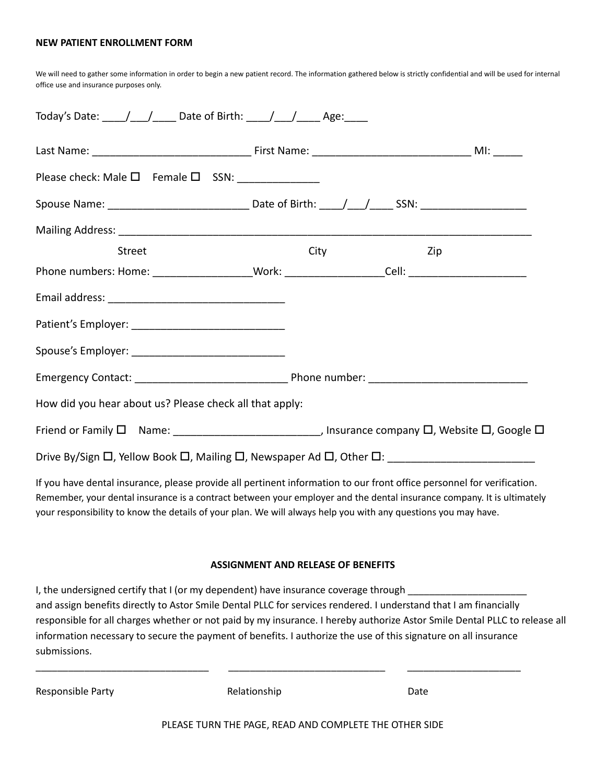#### **NEW PATIENT ENROLLMENT FORM**

We will need to gather some information in order to begin a new patient record. The information gathered below is strictly confidential and will be used for internal office use and insurance purposes only.

| Today's Date: ____/___/_____ Date of Birth: ____/___/_____ Age: ____                                                                   |      |     |  |
|----------------------------------------------------------------------------------------------------------------------------------------|------|-----|--|
|                                                                                                                                        |      |     |  |
| Please check: Male $\square$ Female $\square$ SSN: ________________                                                                    |      |     |  |
|                                                                                                                                        |      |     |  |
|                                                                                                                                        |      |     |  |
| <b>Street</b>                                                                                                                          | City | Zip |  |
| Phone numbers: Home: ____________________Work: ____________________Cell: ___________________________                                   |      |     |  |
|                                                                                                                                        |      |     |  |
|                                                                                                                                        |      |     |  |
| Spouse's Employer: ___________________________________                                                                                 |      |     |  |
|                                                                                                                                        |      |     |  |
| How did you hear about us? Please check all that apply:                                                                                |      |     |  |
| Friend or Family $\square$ Name: _________________________________, Insurance company $\square$ , Website $\square$ , Google $\square$ |      |     |  |
|                                                                                                                                        |      |     |  |

If you have dental insurance, please provide all pertinent information to our front office personnel for verification. Remember, your dental insurance is a contract between your employer and the dental insurance company. It is ultimately your responsibility to know the details of your plan. We will always help you with any questions you may have.

#### **ASSIGNMENT AND RELEASE OF BENEFITS**

| I, the undersigned certify that I (or my dependent) have insurance coverage through                                        |
|----------------------------------------------------------------------------------------------------------------------------|
| and assign benefits directly to Astor Smile Dental PLLC for services rendered. I understand that I am financially          |
| responsible for all charges whether or not paid by my insurance. I hereby authorize Astor Smile Dental PLLC to release all |
| information necessary to secure the payment of benefits. I authorize the use of this signature on all insurance            |
| submissions.                                                                                                               |

\_\_\_\_\_\_\_\_\_\_\_\_\_\_\_\_\_\_\_\_\_\_\_\_\_\_\_\_\_\_\_\_ \_\_\_\_\_\_\_\_\_\_\_\_\_\_\_\_\_\_\_\_\_\_\_\_\_\_\_\_\_ \_\_\_\_\_\_\_\_\_\_\_\_\_\_\_\_\_\_\_\_\_

Responsible Party **Relationship** Relationship **Date** 

|  | Relationship |  |
|--|--------------|--|
|  |              |  |
|  |              |  |
|  |              |  |

PLEASE TURN THE PAGE, READ AND COMPLETE THE OTHER SIDE